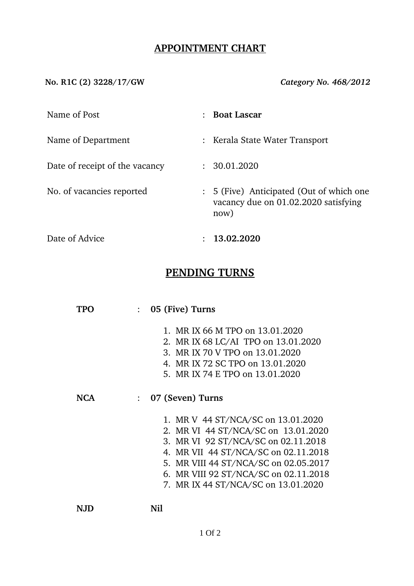# **APPOINTMENT CHART**

**No. R1C (2) 3228/17/GW** *Category No. 468/2012*

| Name of Post                   |                | <b>Boat Lascar</b>                                                                     |
|--------------------------------|----------------|----------------------------------------------------------------------------------------|
| Name of Department             |                | : Kerala State Water Transport                                                         |
| Date of receipt of the vacancy |                | : 30.01.2020                                                                           |
| No. of vacancies reported      | $\ddot{\cdot}$ | 5 (Five) Anticipated (Out of which one<br>vacancy due on 01.02.2020 satisfying<br>now) |

Date of Advice : **13.02.2020** 

# **PENDING TURNS**

|     |                | 05 (Five) Turns                                                                                                                                                                                                                                                                   |
|-----|----------------|-----------------------------------------------------------------------------------------------------------------------------------------------------------------------------------------------------------------------------------------------------------------------------------|
|     |                | 1. MR IX 66 M TPO on 13.01.2020<br>2. MR IX 68 LC/AI TPO on 13.01.2020<br>3. MR IX 70 V TPO on 13.01.2020<br>4. MR IX 72 SC TPO on 13.01.2020<br>5. MR IX 74 E TPO on 13.01.2020                                                                                                  |
| NCA | $\ddot{\cdot}$ | 07 (Seven) Turns                                                                                                                                                                                                                                                                  |
|     |                | 1. MR V 44 ST/NCA/SC on 13.01.2020<br>2. MR VI 44 ST/NCA/SC on 13.01.2020<br>3. MR VI 92 ST/NCA/SC on 02.11.2018<br>4. MR VII 44 ST/NCA/SC on 02.11.2018<br>5. MR VIII 44 ST/NCA/SC on 02.05.2017<br>6. MR VIII 92 ST/NCA/SC on 02.11.2018<br>7. MR IX 44 ST/NCA/SC on 13.01.2020 |
|     |                | Nil                                                                                                                                                                                                                                                                               |